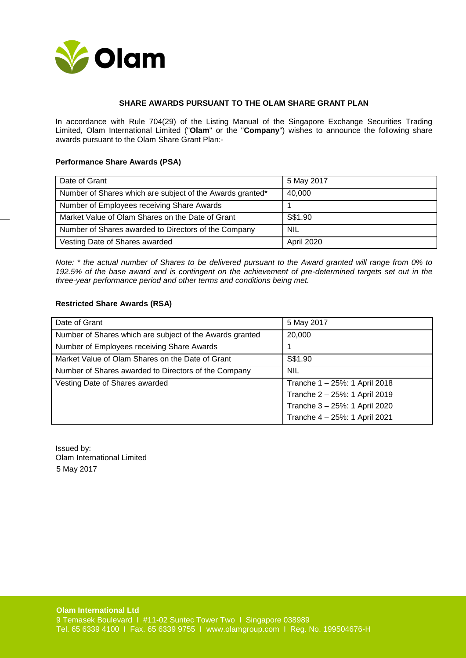

## **SHARE AWARDS PURSUANT TO THE OLAM SHARE GRANT PLAN**

In accordance with Rule 704(29) of the Listing Manual of the Singapore Exchange Securities Trading Limited, Olam International Limited ("**Olam**" or the "**Company**") wishes to announce the following share awards pursuant to the Olam Share Grant Plan:-

## **Performance Share Awards (PSA)**

| Date of Grant                                             | 5 May 2017 |
|-----------------------------------------------------------|------------|
| Number of Shares which are subject of the Awards granted* | 40,000     |
| Number of Employees receiving Share Awards                |            |
| Market Value of Olam Shares on the Date of Grant          | S\$1.90    |
| Number of Shares awarded to Directors of the Company      | <b>NIL</b> |
| Vesting Date of Shares awarded                            | April 2020 |

*Note: \* the actual number of Shares to be delivered pursuant to the Award granted will range from 0% to 192.5% of the base award and is contingent on the achievement of pre-determined targets set out in the three-year performance period and other terms and conditions being met.*

## **Restricted Share Awards (RSA)**

| Date of Grant                                            | 5 May 2017                    |
|----------------------------------------------------------|-------------------------------|
| Number of Shares which are subject of the Awards granted | 20,000                        |
| Number of Employees receiving Share Awards               |                               |
| Market Value of Olam Shares on the Date of Grant         | S\$1.90                       |
| Number of Shares awarded to Directors of the Company     | <b>NIL</b>                    |
| Vesting Date of Shares awarded                           | Tranche 1 - 25%: 1 April 2018 |
|                                                          | Tranche 2 - 25%: 1 April 2019 |
|                                                          | Tranche 3 - 25%: 1 April 2020 |
|                                                          | Tranche 4 - 25%: 1 April 2021 |

Issued by: Olam International Limited 5 May 2017